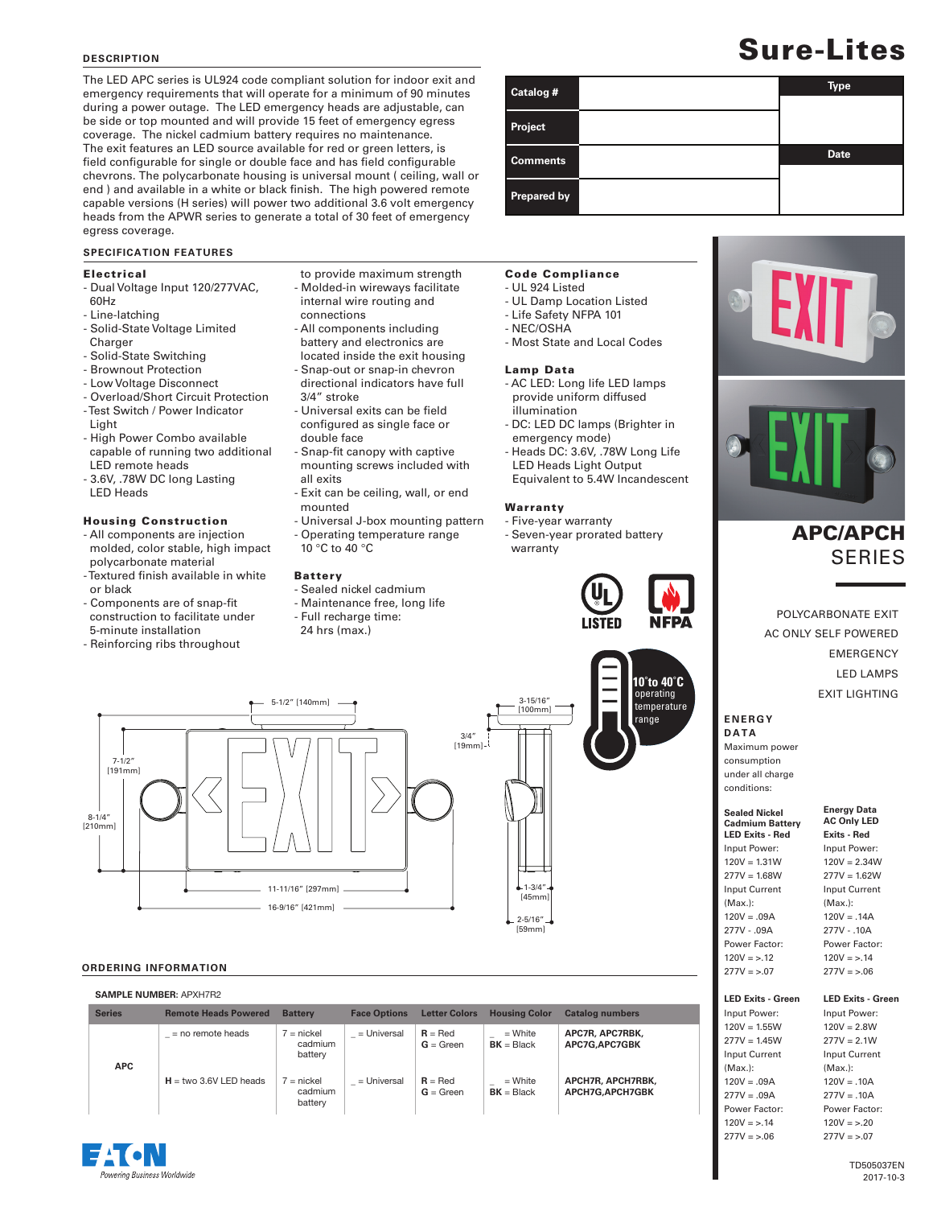#### **DESCRIPTION**

The LED APC series is UL924 code compliant solution for indoor exit and emergency requirements that will operate for a minimum of 90 minutes during a power outage. The LED emergency heads are adjustable, can be side or top mounted and will provide 15 feet of emergency egress coverage. The nickel cadmium battery requires no maintenance. The exit features an LED source available for red or green letters, is field configurable for single or double face and has field configurable chevrons. The polycarbonate housing is universal mount ( ceiling, wall or end ) and available in a white or black finish. The high powered remote capable versions (H series) will power two additional 3.6 volt emergency heads from the APWR series to generate a total of 30 feet of emergency egress coverage.

#### **SPECIFICATION FEATURES**

#### Electrical

- Dual Voltage Input 120/277VAC, 60Hz
- Line-latching
- Solid-State Voltage Limited Charger
- Solid-State Switching
- Brownout Protection
- Low Voltage Disconnect
- Overload/Short Circuit Protection
- Test Switch / Power Indicator Light
- High Power Combo available capable of running two additional LED remote heads
- 3.6V, .78W DC long Lasting LED Heads
- 

8-1/4" [210mm]

 $7 - 1/2"$ [191mm]

#### Housing Construction

- All components are injection molded, color stable, high impact polycarbonate material
- Textured finish available in white or black
- Components are of snap-fit construction to facilitate under 5-minute installation
- Reinforcing ribs throughout
- to provide maximum strength - Molded-in wireways facilitate internal wire routing and
- connections - All components including battery and electronics are
- located inside the exit housing - Snap-out or snap-in chevron
- directional indicators have full 3/4" stroke
- Universal exits can be field configured as single face or double face
- Snap-fit canopy with captive mounting screws included with all exits
- Exit can be ceiling, wall, or end mounted
- Universal J-box mounting pattern

5-1/2" [140mm] 4-8

3/4"  $[19mm]$ 

- Operating temperature range
- 10 °C to 40 °C

### Battery

11-11/16" [297mm]  $-16-9/16"$  [421mm]

> cadmium battery

 cadmium battery

 $=$  no remote heads  $7 =$  nickel

 $H =$  two 3.6V LED heads  $7 =$  nickel

**Series Remote Heads Powered Battery Face Options Letter Colors Housing Color Catalog numbers**

 $=$  Universal  $R = Red$ 

**\_** = Universal **R** = Red

**G** = Green

**G** = Green

- Sealed nickel cadmium
- Maintenance free, long life
- Full recharge time:
- 24 hrs (max.)

# Sure-Lites

| Catalog #       | <b>Type</b> |
|-----------------|-------------|
| Project         |             |
| <b>Comments</b> | <b>Date</b> |
| Prepared by     |             |

#### Code Compliance

- UL 924 Listed
- UL Damp Location Listed
- Life Safety NFPA 101
- NEC/OSHA
- Most State and Local Codes

#### Lamp Data

- AC LED: Long life LED lamps provide uniform diffused illumination
- DC: LED DC lamps (Brighter in emergency mode)
- Heads DC: 3.6V, .78W Long Life LED Heads Light Output Equivalent to 5.4W Incandescent

#### Warranty

[100mm]

1-3/4" [45mm] 2-5/16" [59mm]

**\_** = White **BK** = Black

**\_** = White **BK** = Black

- Five-year warranty - Seven-year prorated battery warranty







## APC/APCH **SERIES**

POLYCARBONATE EXIT AC ONLY SELF POWERED EMERGENCY LED LAMPS EXIT LIGHTING

#### **E N E R G Y DATA**

Maximum power consumption under all charge conditions:

#### **Sealed Nickel Cadmium Battery Energy Data AC Only LED Exits - Red**

**LED Exits - Red** Input Power:  $120V = 1.31W$  $277V = 1.68W$ Input Current (Max.): 120V = .09A 277V - .09A Power Factor:

 $277V = 1.62W$ Input Current (Max.):  $120V = .14A$ 277V - .10A Power Factor:  $120V = > .14$  $277V = 5.06$ 

Input Power:  $120V = 2.34W$ 

#### **Len** Input Power:

| $120V = 1.55W$       |
|----------------------|
| $277V = 1.45W$       |
| <b>Input Current</b> |
| $(Max.)$ :           |
| $120V = .09A$        |
| $277V = .09A$        |
| Power Factor:        |
| $120V = 5.14$        |
| $277V = 5.06$        |

**LED Exits - Green** Input Power:  $120V = 2.8W$  $277V = 2.1W$ Input Current (Max.):  $120V = .10A$  $277V = 10A$ Power Factor:  $120V = >.20$  $277V = >.07$ 

|                                             | FOWEL FACTOL<br>$120V = 12$<br>$277V = 5.07$               |
|---------------------------------------------|------------------------------------------------------------|
| <b>Catalog numbers</b>                      | <b>LED Exits - Gree</b><br>Input Power:                    |
| APC7R, APC7RBK,<br>APC7G, APC7GBK           | $120V = 1.55W$<br>$277V = 1.45W$<br><b>Input Current</b>   |
| APCH7R. APCH7RBK.<br><b>APCH7G.APCH7GBK</b> | (Max.):<br>$120V = .09A$<br>$277V = .09A$<br>Power Factor: |
|                                             | $120V - 14$                                                |

ering Business Worldwide

**APC**

**ORDERING INFORMATION SAMPLE NUMBER:** APXH7R2

**NFPA** 

operating temperature range

**-20˚to 50˚C 10˚to 40˚C**